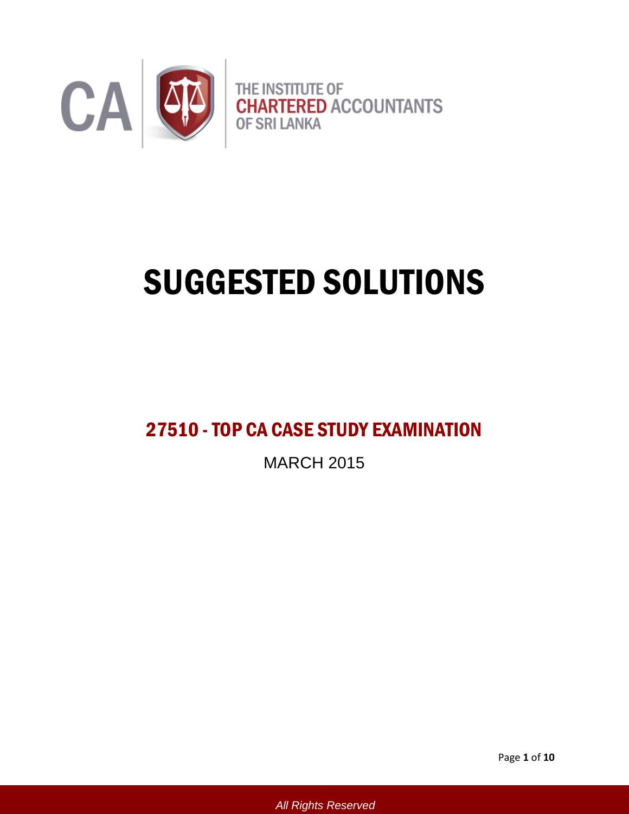

# SUGGESTED SOLUTIONS

## 27510 -TOP CA CASE STUDY EXAMINATION

MARCH 2015

Page **1** of **10**

*All Rights Reserved*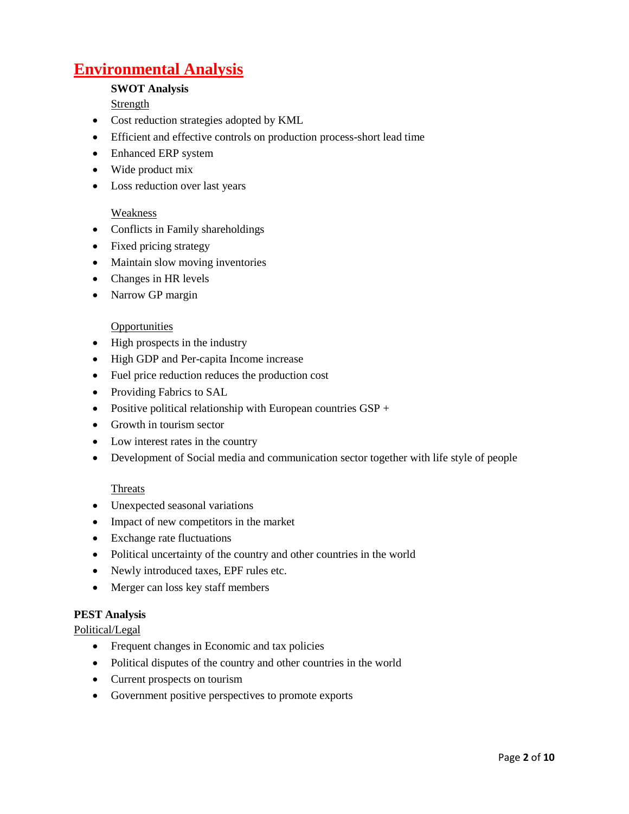### **Environmental Analysis**

#### **SWOT Analysis**

Strength

- Cost reduction strategies adopted by KML
- Efficient and effective controls on production process-short lead time
- Enhanced ERP system
- Wide product mix
- Loss reduction over last years

#### **Weakness**

- Conflicts in Family shareholdings
- Fixed pricing strategy
- Maintain slow moving inventories
- Changes in HR levels
- Narrow GP margin

#### **Opportunities**

- High prospects in the industry
- High GDP and Per-capita Income increase
- Fuel price reduction reduces the production cost
- Providing Fabrics to SAL
- Positive political relationship with European countries GSP +
- Growth in tourism sector
- Low interest rates in the country
- Development of Social media and communication sector together with life style of people

#### **Threats**

- Unexpected seasonal variations
- Impact of new competitors in the market
- Exchange rate fluctuations
- Political uncertainty of the country and other countries in the world
- Newly introduced taxes, EPF rules etc.
- Merger can loss key staff members

#### **PEST Analysis**

Political/Legal

- Frequent changes in Economic and tax policies
- Political disputes of the country and other countries in the world
- Current prospects on tourism
- Government positive perspectives to promote exports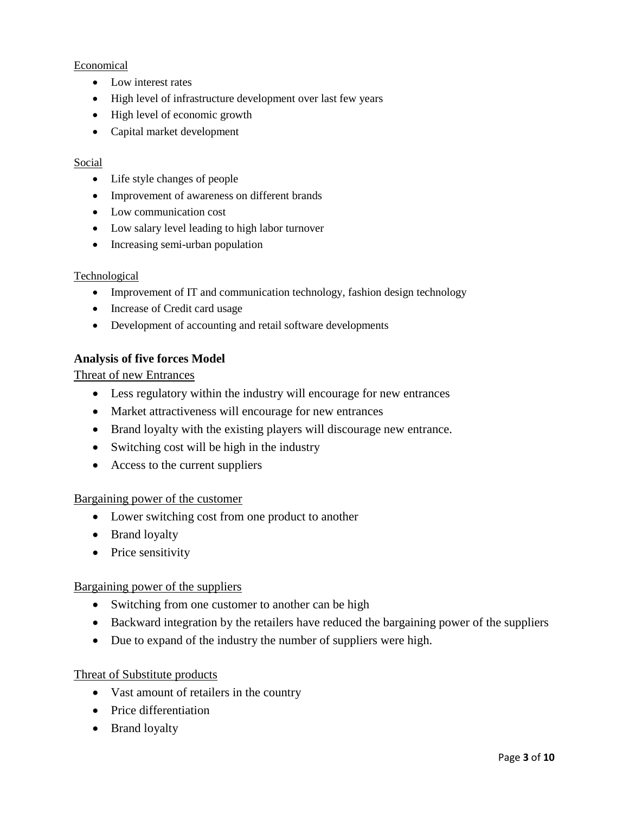#### Economical

- Low interest rates
- High level of infrastructure development over last few years
- High level of economic growth
- Capital market development

#### Social

- Life style changes of people
- Improvement of awareness on different brands
- Low communication cost
- Low salary level leading to high labor turnover
- Increasing semi-urban population

#### Technological

- Improvement of IT and communication technology, fashion design technology
- Increase of Credit card usage
- Development of accounting and retail software developments

#### **Analysis of five forces Model**

Threat of new Entrances

- Less regulatory within the industry will encourage for new entrances
- Market attractiveness will encourage for new entrances
- Brand loyalty with the existing players will discourage new entrance.
- Switching cost will be high in the industry
- Access to the current suppliers

#### Bargaining power of the customer

- Lower switching cost from one product to another
- Brand loyalty
- Price sensitivity

#### Bargaining power of the suppliers

- Switching from one customer to another can be high
- Backward integration by the retailers have reduced the bargaining power of the suppliers
- Due to expand of the industry the number of suppliers were high.

#### Threat of Substitute products

- Vast amount of retailers in the country
- Price differentiation
- Brand loyalty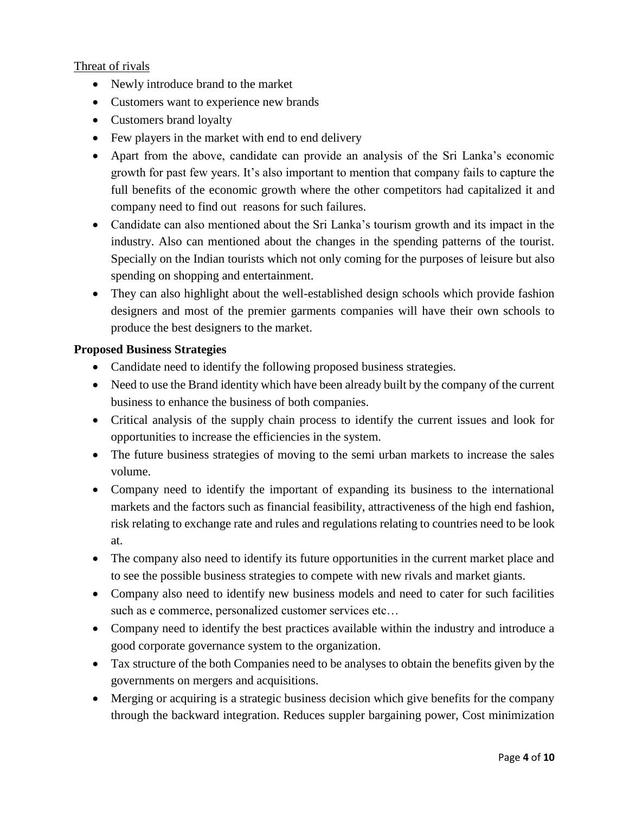#### Threat of rivals

- Newly introduce brand to the market
- Customers want to experience new brands
- Customers brand loyalty
- Few players in the market with end to end delivery
- Apart from the above, candidate can provide an analysis of the Sri Lanka's economic growth for past few years. It's also important to mention that company fails to capture the full benefits of the economic growth where the other competitors had capitalized it and company need to find out reasons for such failures.
- Candidate can also mentioned about the Sri Lanka's tourism growth and its impact in the industry. Also can mentioned about the changes in the spending patterns of the tourist. Specially on the Indian tourists which not only coming for the purposes of leisure but also spending on shopping and entertainment.
- They can also highlight about the well-established design schools which provide fashion designers and most of the premier garments companies will have their own schools to produce the best designers to the market.

#### **Proposed Business Strategies**

- Candidate need to identify the following proposed business strategies.
- Need to use the Brand identity which have been already built by the company of the current business to enhance the business of both companies.
- Critical analysis of the supply chain process to identify the current issues and look for opportunities to increase the efficiencies in the system.
- The future business strategies of moving to the semi urban markets to increase the sales volume.
- Company need to identify the important of expanding its business to the international markets and the factors such as financial feasibility, attractiveness of the high end fashion, risk relating to exchange rate and rules and regulations relating to countries need to be look at.
- The company also need to identify its future opportunities in the current market place and to see the possible business strategies to compete with new rivals and market giants.
- Company also need to identify new business models and need to cater for such facilities such as e commerce, personalized customer services etc…
- Company need to identify the best practices available within the industry and introduce a good corporate governance system to the organization.
- Tax structure of the both Companies need to be analyses to obtain the benefits given by the governments on mergers and acquisitions.
- Merging or acquiring is a strategic business decision which give benefits for the company through the backward integration. Reduces suppler bargaining power, Cost minimization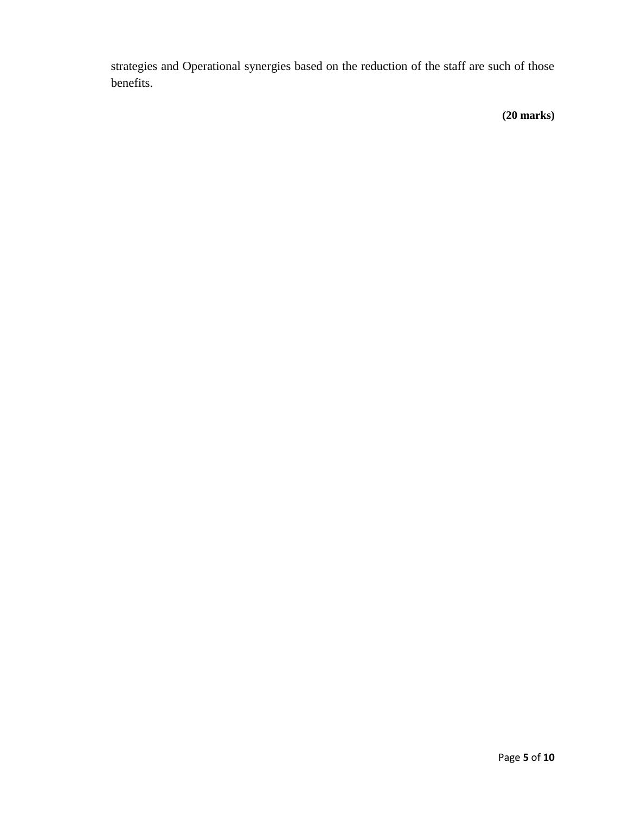strategies and Operational synergies based on the reduction of the staff are such of those benefits.

**(20 marks)**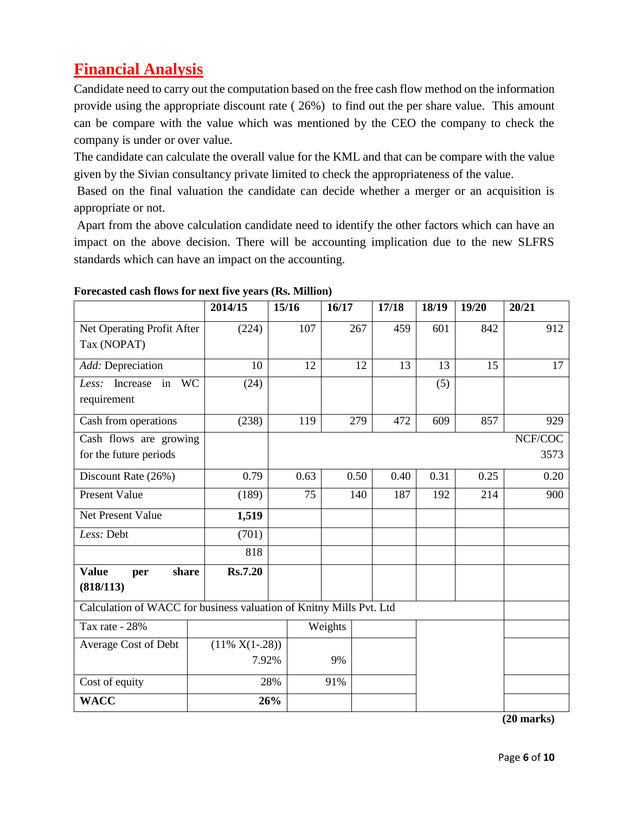## **Financial Analysis**

Candidate need to carry out the computation based on the free cash flow method on the information provide using the appropriate discount rate ( 26%) to find out the per share value. This amount can be compare with the value which was mentioned by the CEO the company to check the company is under or over value.

The candidate can calculate the overall value for the KML and that can be compare with the value given by the Sivian consultancy private limited to check the appropriateness of the value.

Based on the final valuation the candidate can decide whether a merger or an acquisition is appropriate or not.

Apart from the above calculation candidate need to identify the other factors which can have an impact on the above decision. There will be accounting implication due to the new SLFRS standards which can have an impact on the accounting.

|                                                                     | 2014/15           | 15/16 | 16/17   |      | 17/18 | 18/19   | 19/20 | 20/21 |
|---------------------------------------------------------------------|-------------------|-------|---------|------|-------|---------|-------|-------|
| Net Operating Profit After                                          | (224)             | 107   |         | 267  | 459   | 601     | 842   | 912   |
| Tax (NOPAT)                                                         |                   |       |         |      |       |         |       |       |
| Add: Depreciation                                                   | 10                | 12    |         | 12   | 13    | 13      | 15    | 17    |
| Less: Increase<br>in WC                                             | (24)              |       |         |      |       | (5)     |       |       |
| requirement                                                         |                   |       |         |      |       |         |       |       |
| Cash from operations                                                | (238)             | 119   |         | 279  | 472   | 609     | 857   | 929   |
| Cash flows are growing                                              |                   |       |         |      |       | NCF/COC |       |       |
| for the future periods                                              |                   |       |         |      |       |         |       | 3573  |
| Discount Rate (26%)                                                 | 0.79              | 0.63  |         | 0.50 | 0.40  | 0.31    | 0.25  | 0.20  |
| <b>Present Value</b>                                                | (189)             | 75    |         | 140  | 187   | 192     | 214   | 900   |
| Net Present Value                                                   | 1,519             |       |         |      |       |         |       |       |
| Less: Debt                                                          | (701)             |       |         |      |       |         |       |       |
|                                                                     | 818               |       |         |      |       |         |       |       |
| <b>Value</b><br>share<br>per                                        | <b>Rs.7.20</b>    |       |         |      |       |         |       |       |
| (818/113)                                                           |                   |       |         |      |       |         |       |       |
| Calculation of WACC for business valuation of Knitny Mills Pvt. Ltd |                   |       |         |      |       |         |       |       |
| Tax rate - 28%                                                      |                   |       | Weights |      |       |         |       |       |
| Average Cost of Debt                                                | $(11\% X(1-.28))$ |       |         |      |       |         |       |       |
|                                                                     | 7.92%             |       | 9%      |      |       |         |       |       |
| Cost of equity                                                      |                   | 28%   | 91%     |      |       |         |       |       |
| <b>WACC</b>                                                         |                   | 26%   |         |      |       |         |       |       |

#### **Forecasted cash flows for next five years (Rs. Million)**

**(20 marks)**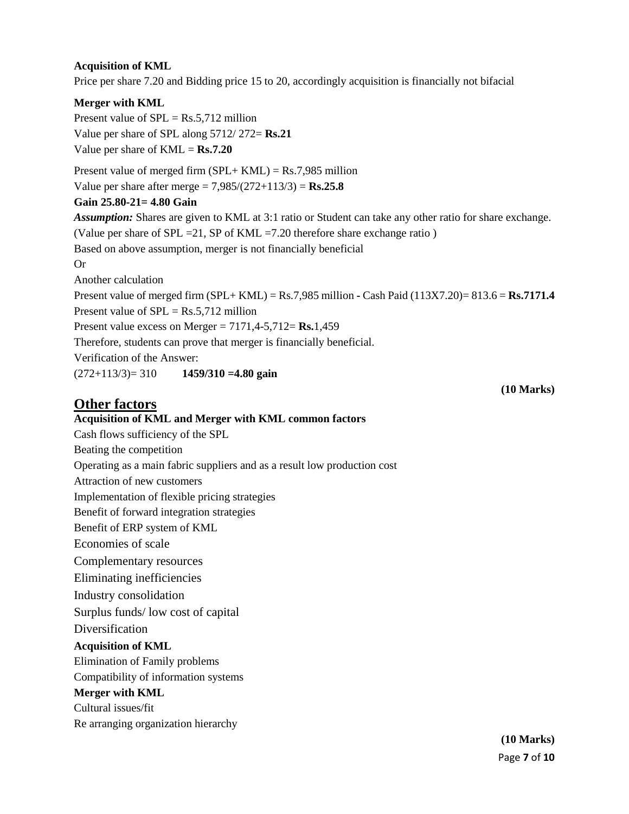#### **Acquisition of KML**

Price per share 7.20 and Bidding price 15 to 20, accordingly acquisition is financially not bifacial

#### **Merger with KML**

Present value of  $SPL = Rs.5,712$  million Value per share of SPL along 5712/ 272= **Rs.21** Value per share of KML = **Rs.7.20**

Present value of merged firm  $(SPL+KML) = \text{Rs}.7,985$  million

Value per share after merge = 7,985/(272+113/3) = **Rs.25.8**

#### **Gain 25.80-21= 4.80 Gain**

*Assumption:* Shares are given to KML at 3:1 ratio or Student can take any other ratio for share exchange. (Value per share of SPL =21, SP of KML =7.20 therefore share exchange ratio )

Based on above assumption, merger is not financially beneficial

Or

Another calculation

Present value of merged firm (SPL+ KML) = Rs.7,985 million **-** Cash Paid (113X7.20)= 813.6 = **Rs.7171.4** Present value of  $SPL = Rs.5,712$  million

Present value excess on Merger = 7171,4-5,712= **Rs.**1,459

Therefore, students can prove that merger is financially beneficial.

Verification of the Answer:

(272+113/3)= 310 **1459/310 =4.80 gain**

#### **Other factors**

#### **Acquisition of KML and Merger with KML common factors**

Cash flows sufficiency of the SPL

Beating the competition

Operating as a main fabric suppliers and as a result low production cost

Attraction of new customers

Implementation of flexible pricing strategies

Benefit of forward integration strategies

Benefit of ERP system of KML

Economies of scale

Complementary resources

Eliminating inefficiencies

Industry consolidation

Surplus funds/ low cost of capital

**Diversification** 

#### **Acquisition of KML**

Elimination of Family problems

Compatibility of information systems

#### **Merger with KML**

Cultural issues/fit

Re arranging organization hierarchy

**(10 Marks)**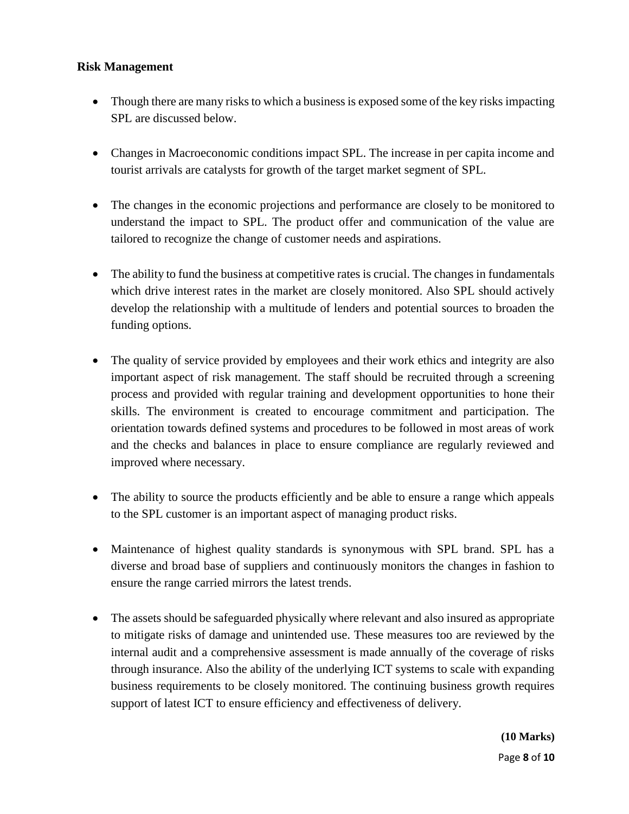#### **Risk Management**

- Though there are many risks to which a business is exposed some of the key risks impacting SPL are discussed below.
- Changes in Macroeconomic conditions impact SPL. The increase in per capita income and tourist arrivals are catalysts for growth of the target market segment of SPL.
- The changes in the economic projections and performance are closely to be monitored to understand the impact to SPL. The product offer and communication of the value are tailored to recognize the change of customer needs and aspirations.
- The ability to fund the business at competitive rates is crucial. The changes in fundamentals which drive interest rates in the market are closely monitored. Also SPL should actively develop the relationship with a multitude of lenders and potential sources to broaden the funding options.
- The quality of service provided by employees and their work ethics and integrity are also important aspect of risk management. The staff should be recruited through a screening process and provided with regular training and development opportunities to hone their skills. The environment is created to encourage commitment and participation. The orientation towards defined systems and procedures to be followed in most areas of work and the checks and balances in place to ensure compliance are regularly reviewed and improved where necessary.
- The ability to source the products efficiently and be able to ensure a range which appeals to the SPL customer is an important aspect of managing product risks.
- Maintenance of highest quality standards is synonymous with SPL brand. SPL has a diverse and broad base of suppliers and continuously monitors the changes in fashion to ensure the range carried mirrors the latest trends.
- The assets should be safeguarded physically where relevant and also insured as appropriate to mitigate risks of damage and unintended use. These measures too are reviewed by the internal audit and a comprehensive assessment is made annually of the coverage of risks through insurance. Also the ability of the underlying ICT systems to scale with expanding business requirements to be closely monitored. The continuing business growth requires support of latest ICT to ensure efficiency and effectiveness of delivery.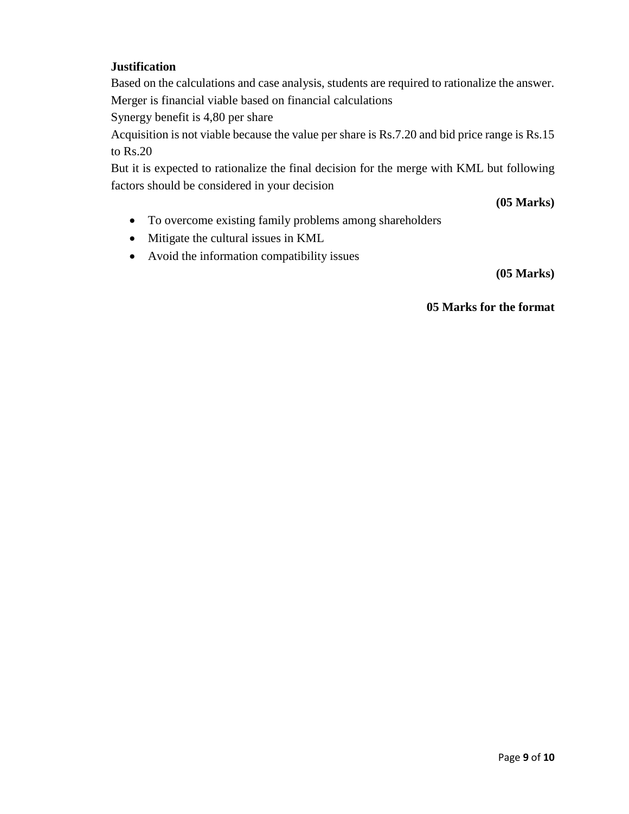#### **Justification**

Based on the calculations and case analysis, students are required to rationalize the answer. Merger is financial viable based on financial calculations

Synergy benefit is 4,80 per share

Acquisition is not viable because the value per share is Rs.7.20 and bid price range is Rs.15 to Rs.20

But it is expected to rationalize the final decision for the merge with KML but following factors should be considered in your decision

**(05 Marks)**

- To overcome existing family problems among shareholders
- Mitigate the cultural issues in KML
- Avoid the information compatibility issues

**(05 Marks)**

**05 Marks for the format**